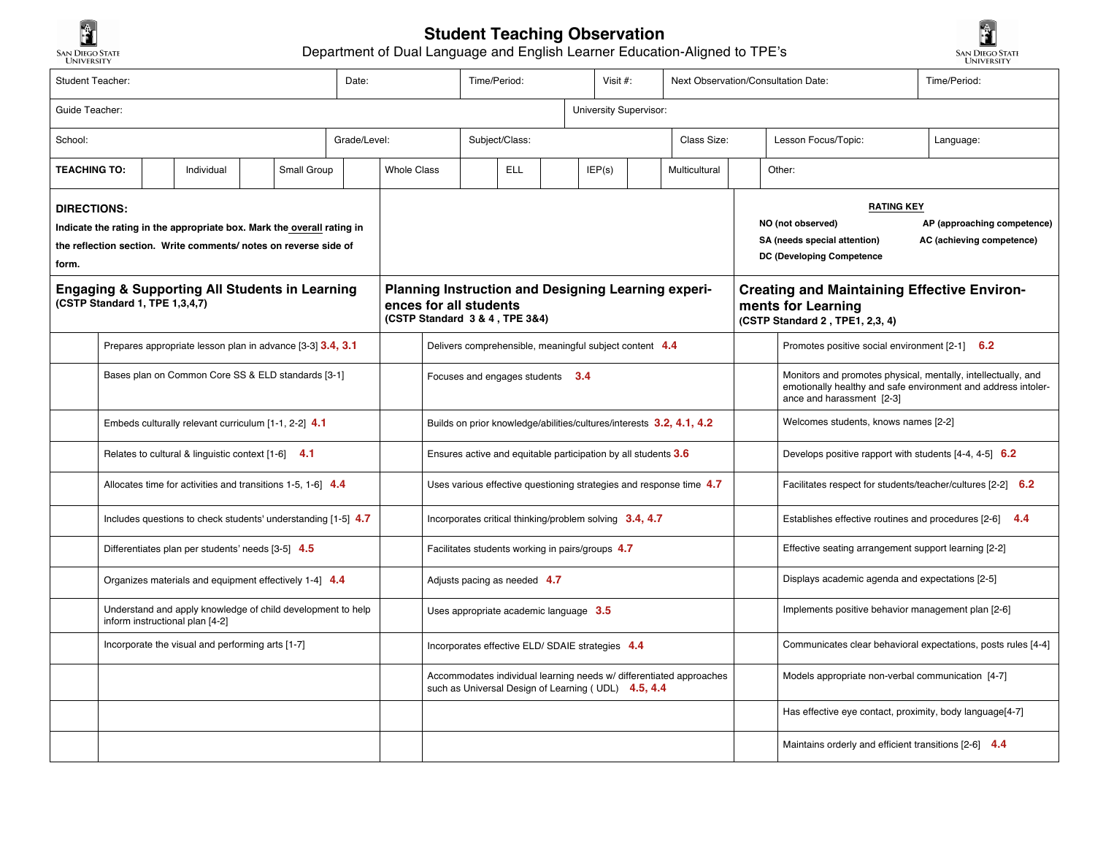

## **Student Teaching Observation**

Department of Dual Language and English Learner Education-Aligned to TPE's



| Student Teacher:                                                          |                                                                                                |  |                                                           |                    | Date: | Time/Period:           |                                                                                                                            |                                                                      |                         | Visit #: |  |  |             | Next Observation/Consultation Date:               | Time/Period:                                                                                                  |                                                                                                                                                             |  |  |  |
|---------------------------------------------------------------------------|------------------------------------------------------------------------------------------------|--|-----------------------------------------------------------|--------------------|-------|------------------------|----------------------------------------------------------------------------------------------------------------------------|----------------------------------------------------------------------|-------------------------|----------|--|--|-------------|---------------------------------------------------|---------------------------------------------------------------------------------------------------------------|-------------------------------------------------------------------------------------------------------------------------------------------------------------|--|--|--|
| Guide Teacher:                                                            |                                                                                                |  |                                                           |                    |       | University Supervisor: |                                                                                                                            |                                                                      |                         |          |  |  |             |                                                   |                                                                                                               |                                                                                                                                                             |  |  |  |
| Grade/Level:<br>School:                                                   |                                                                                                |  |                                                           |                    |       | Subject/Class:         |                                                                                                                            |                                                                      |                         |          |  |  | Class Size: |                                                   | Lesson Focus/Topic:                                                                                           | Language:                                                                                                                                                   |  |  |  |
| <b>TEACHING TO:</b><br>Small Group<br>Individual                          |                                                                                                |  |                                                           | <b>Whole Class</b> |       |                        | <b>ELL</b>                                                                                                                 |                                                                      | IEP(s)<br>Multicultural |          |  |  | Other:      |                                                   |                                                                                                               |                                                                                                                                                             |  |  |  |
| DIRECTIONS:                                                               |                                                                                                |  |                                                           |                    |       |                        |                                                                                                                            |                                                                      |                         |          |  |  |             |                                                   | <b>RATING KEY</b>                                                                                             |                                                                                                                                                             |  |  |  |
| Indicate the rating in the appropriate box. Mark the overall rating in    |                                                                                                |  |                                                           |                    |       |                        |                                                                                                                            |                                                                      |                         |          |  |  |             |                                                   | NO (not observed)<br>AP (approaching competence)<br>SA (needs special attention)<br>AC (achieving competence) |                                                                                                                                                             |  |  |  |
| the reflection section. Write comments/ notes on reverse side of<br>form. |                                                                                                |  |                                                           |                    |       |                        |                                                                                                                            |                                                                      |                         |          |  |  |             | DC (Developing Competence                         |                                                                                                               |                                                                                                                                                             |  |  |  |
|                                                                           | (CSTP Standard 1, TPE 1,3,4,7)                                                                 |  | <b>Engaging &amp; Supporting All Students in Learning</b> |                    |       |                        | Planning Instruction and Designing Learning experi-<br>ences for all students<br>(CSTP Standard 3 & 4, TPE 3&4)            |                                                                      |                         |          |  |  |             |                                                   |                                                                                                               | <b>Creating and Maintaining Effective Environ-</b><br>ments for Learning<br>(CSTP Standard 2, TPE1, 2,3, 4)                                                 |  |  |  |
|                                                                           | Prepares appropriate lesson plan in advance [3-3] 3.4, 3.1                                     |  |                                                           |                    |       |                        | Delivers comprehensible, meaningful subject content 4.4                                                                    |                                                                      |                         |          |  |  |             |                                                   | Promotes positive social environment [2-1] 6.2                                                                |                                                                                                                                                             |  |  |  |
|                                                                           | Bases plan on Common Core SS & ELD standards [3-1]                                             |  |                                                           |                    |       |                        |                                                                                                                            | 3.4<br>Focuses and engages students                                  |                         |          |  |  |             |                                                   |                                                                                                               | Monitors and promotes physical, mentally, intellectually, and<br>emotionally healthy and safe environment and address intoler-<br>ance and harassment [2-3] |  |  |  |
|                                                                           | Embeds culturally relevant curriculum [1-1, 2-2] 4.1                                           |  |                                                           |                    |       |                        |                                                                                                                            | Builds on prior knowledge/abilities/cultures/interests 3.2, 4.1, 4.2 |                         |          |  |  |             |                                                   |                                                                                                               | Welcomes students, knows names [2-2]                                                                                                                        |  |  |  |
|                                                                           | Relates to cultural & linguistic context [1-6] 4.1                                             |  |                                                           |                    |       |                        | Ensures active and equitable participation by all students 3.6                                                             |                                                                      |                         |          |  |  |             |                                                   | Develops positive rapport with students $[4-4, 4-5]$ 6.2                                                      |                                                                                                                                                             |  |  |  |
|                                                                           | Allocates time for activities and transitions 1-5, 1-6] 4.4                                    |  |                                                           |                    |       |                        |                                                                                                                            | Uses various effective questioning strategies and response time 4.7  |                         |          |  |  |             |                                                   |                                                                                                               | Facilitates respect for students/teacher/cultures [2-2] 6.2                                                                                                 |  |  |  |
|                                                                           | Includes questions to check students' understanding [1-5] 4.7                                  |  |                                                           |                    |       |                        |                                                                                                                            | Incorporates critical thinking/problem solving 3.4, 4.7              |                         |          |  |  |             |                                                   |                                                                                                               | Establishes effective routines and procedures [2-6] 4.4                                                                                                     |  |  |  |
|                                                                           | Differentiates plan per students' needs [3-5] 4.5                                              |  |                                                           |                    |       |                        | Facilitates students working in pairs/groups 4.7                                                                           |                                                                      |                         |          |  |  |             |                                                   |                                                                                                               | Effective seating arrangement support learning [2-2]                                                                                                        |  |  |  |
|                                                                           | Organizes materials and equipment effectively 1-4] 4.4                                         |  |                                                           |                    |       |                        | Adjusts pacing as needed 4.7                                                                                               |                                                                      |                         |          |  |  |             |                                                   | Displays academic agenda and expectations [2-5]                                                               |                                                                                                                                                             |  |  |  |
|                                                                           | Understand and apply knowledge of child development to help<br>inform instructional plan [4-2] |  |                                                           |                    |       |                        | Uses appropriate academic language 3.5                                                                                     |                                                                      |                         |          |  |  |             |                                                   | Implements positive behavior management plan [2-6]                                                            |                                                                                                                                                             |  |  |  |
|                                                                           | Incorporate the visual and performing arts [1-7]                                               |  |                                                           |                    |       |                        |                                                                                                                            | Incorporates effective ELD/ SDAIE strategies 4.4                     |                         |          |  |  |             |                                                   |                                                                                                               | Communicates clear behavioral expectations, posts rules [4-4]                                                                                               |  |  |  |
|                                                                           |                                                                                                |  |                                                           |                    |       |                        | Accommodates individual learning needs w/ differentiated approaches<br>such as Universal Design of Learning (UDL) 4.5, 4.4 |                                                                      |                         |          |  |  |             | Models appropriate non-verbal communication [4-7] |                                                                                                               |                                                                                                                                                             |  |  |  |
|                                                                           |                                                                                                |  |                                                           |                    |       |                        |                                                                                                                            |                                                                      |                         |          |  |  |             |                                                   | Has effective eye contact, proximity, body language[4-7]                                                      |                                                                                                                                                             |  |  |  |
|                                                                           |                                                                                                |  |                                                           |                    |       |                        |                                                                                                                            |                                                                      |                         |          |  |  |             |                                                   |                                                                                                               | Maintains orderly and efficient transitions [2-6] 4.4                                                                                                       |  |  |  |